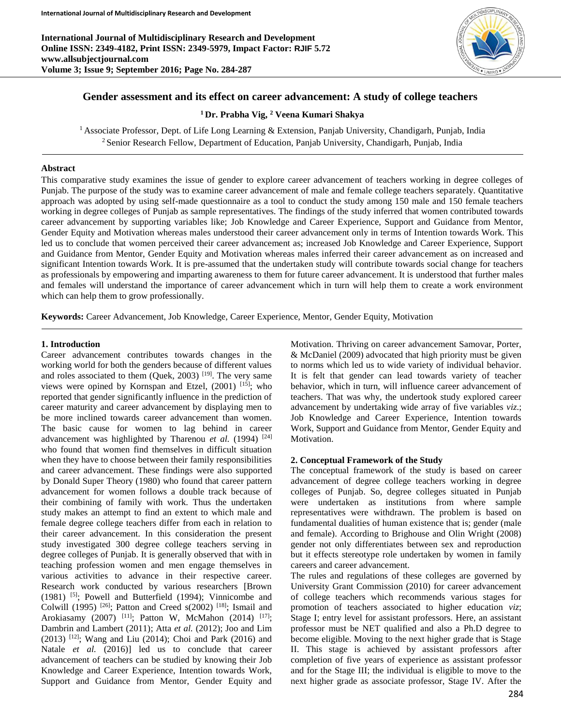**International Journal of Multidisciplinary Research and Development Online ISSN: 2349-4182, Print ISSN: 2349-5979, Impact Factor: RJIF 5.72 www.allsubjectjournal.com Volume 3; Issue 9; September 2016; Page No. 284-287**



# **Gender assessment and its effect on career advancement: A study of college teachers**

**<sup>1</sup>Dr. Prabha Vig, <sup>2</sup> Veena Kumari Shakya**

<sup>1</sup> Associate Professor, Dept. of Life Long Learning & Extension, Panjab University, Chandigarh, Punjab, India <sup>2</sup> Senior Research Fellow, Department of Education, Panjab University, Chandigarh, Punjab, India

#### **Abstract**

This comparative study examines the issue of gender to explore career advancement of teachers working in degree colleges of Punjab. The purpose of the study was to examine career advancement of male and female college teachers separately. Quantitative approach was adopted by using self-made questionnaire as a tool to conduct the study among 150 male and 150 female teachers working in degree colleges of Punjab as sample representatives. The findings of the study inferred that women contributed towards career advancement by supporting variables like; Job Knowledge and Career Experience, Support and Guidance from Mentor, Gender Equity and Motivation whereas males understood their career advancement only in terms of Intention towards Work. This led us to conclude that women perceived their career advancement as; increased Job Knowledge and Career Experience, Support and Guidance from Mentor, Gender Equity and Motivation whereas males inferred their career advancement as on increased and significant Intention towards Work. It is pre-assumed that the undertaken study will contribute towards social change for teachers as professionals by empowering and imparting awareness to them for future career advancement. It is understood that further males and females will understand the importance of career advancement which in turn will help them to create a work environment which can help them to grow professionally.

**Keywords:** Career Advancement, Job Knowledge, Career Experience, Mentor, Gender Equity, Motivation

#### **1. Introduction**

Career advancement contributes towards changes in the working world for both the genders because of different values and roles associated to them (Quek, 2003)  $[19]$ . The very same views were opined by Kornspan and Etzel,  $(2001)$ <sup>[15]</sup>; who reported that gender significantly influence in the prediction of career maturity and career advancement by displaying men to be more inclined towards career advancement than women. The basic cause for women to lag behind in career advancement was highlighted by Tharenou *et al.* (1994)<sup>[24]</sup> who found that women find themselves in difficult situation when they have to choose between their family responsibilities and career advancement. These findings were also supported by Donald Super Theory (1980) who found that career pattern advancement for women follows a double track because of their combining of family with work. Thus the undertaken study makes an attempt to find an extent to which male and female degree college teachers differ from each in relation to their career advancement. In this consideration the present study investigated 300 degree college teachers serving in degree colleges of Punjab. It is generally observed that with in teaching profession women and men engage themselves in various activities to advance in their respective career. Research work conducted by various researchers [Brown (1981) [5]; Powell and Butterfield (1994); Vinnicombe and Colwill (1995) <sup>[26]</sup>; Patton and Creed s(2002) <sup>[18]</sup>; Ismail and Arokiasamy (2007) <sup>[11]</sup>; Patton W, McMahon (2014) <sup>[17]</sup>; Dambrin and Lambert (2011); Atta *et al.* (2012); Joo and Lim (2013) [12]; Wang and Liu (2014); Choi and Park (2016) and Natale *et al.* (2016)] led us to conclude that career advancement of teachers can be studied by knowing their Job Knowledge and Career Experience, Intention towards Work, Support and Guidance from Mentor, Gender Equity and

Motivation. Thriving on career advancement Samovar, Porter, & McDaniel (2009) advocated that high priority must be given to norms which led us to wide variety of individual behavior. It is felt that gender can lead towards variety of teacher behavior, which in turn, will influence career advancement of teachers. That was why, the undertook study explored career advancement by undertaking wide array of five variables *viz*.; Job Knowledge and Career Experience, Intention towards Work, Support and Guidance from Mentor, Gender Equity and Motivation.

### **2. Conceptual Framework of the Study**

The conceptual framework of the study is based on career advancement of degree college teachers working in degree colleges of Punjab. So, degree colleges situated in Punjab were undertaken as institutions from where sample representatives were withdrawn. The problem is based on fundamental dualities of human existence that is; gender (male and female). According to Brighouse and Olin Wright (2008) gender not only differentiates between sex and reproduction but it effects stereotype role undertaken by women in family careers and career advancement.

The rules and regulations of these colleges are governed by University Grant Commission (2010) for career advancement of college teachers which recommends various stages for promotion of teachers associated to higher education *viz*; Stage I; entry level for assistant professors. Here, an assistant professor must be NET qualified and also a Ph.D degree to become eligible. Moving to the next higher grade that is Stage II. This stage is achieved by assistant professors after completion of five years of experience as assistant professor and for the Stage III; the individual is eligible to move to the next higher grade as associate professor, Stage IV. After the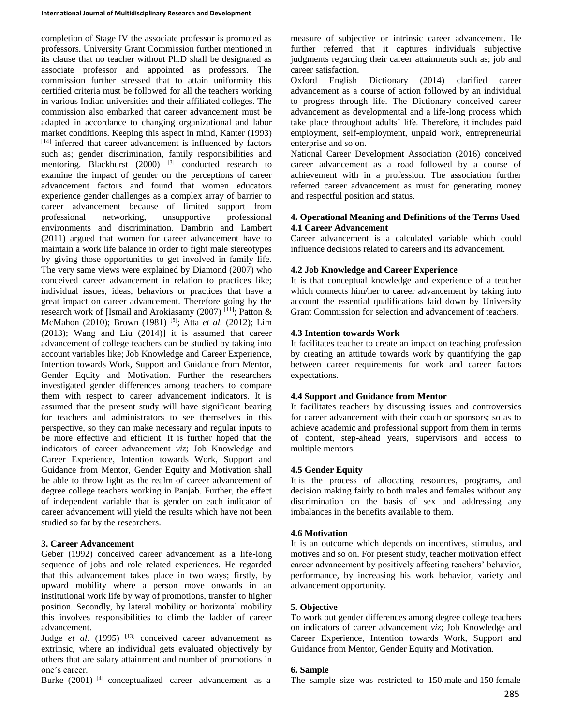completion of Stage IV the associate professor is promoted as professors. University Grant Commission further mentioned in its clause that no teacher without Ph.D shall be designated as associate professor and appointed as professors. The commission further stressed that to attain uniformity this certified criteria must be followed for all the teachers working in various Indian universities and their affiliated colleges. The commission also embarked that career advancement must be adapted in accordance to changing organizational and labor market conditions. Keeping this aspect in mind, Kanter (1993) [14] inferred that career advancement is influenced by factors such as; gender discrimination, family responsibilities and mentoring. Blackhurst (2000) <sup>[3]</sup> conducted research to examine the impact of gender on the perceptions of career advancement factors and found that women educators experience gender challenges as a complex array of barrier to career advancement because of limited support from professional networking, unsupportive professional environments and discrimination. Dambrin and Lambert (2011) argued that women for career advancement have to maintain a work life balance in order to fight male stereotypes by giving those opportunities to get involved in family life. The very same views were explained by Diamond (2007) who conceived career advancement in relation to practices like; individual issues, ideas, behaviors or practices that have a great impact on career advancement. Therefore going by the research work of [Ismail and Arokiasamy (2007)<sup>[11]</sup>; Patton & McMahon (2010); Brown (1981) [5]; Atta *et al.* (2012); Lim (2013); Wang and Liu (2014)] it is assumed that career advancement of college teachers can be studied by taking into account variables like; Job Knowledge and Career Experience, Intention towards Work, Support and Guidance from Mentor, Gender Equity and Motivation. Further the researchers investigated gender differences among teachers to compare them with respect to career advancement indicators. It is assumed that the present study will have significant bearing for teachers and administrators to see themselves in this perspective, so they can make necessary and regular inputs to be more effective and efficient. It is further hoped that the indicators of career advancement *viz*; Job Knowledge and Career Experience, Intention towards Work, Support and Guidance from Mentor, Gender Equity and Motivation shall be able to throw light as the realm of career advancement of degree college teachers working in Panjab. Further, the effect of independent variable that is gender on each indicator of career advancement will yield the results which have not been studied so far by the researchers.

# **3. Career Advancement**

Geber (1992) conceived career advancement as a life-long sequence of jobs and role related experiences. He regarded that this advancement takes place in two ways; firstly, by upward mobility where a person move onwards in an institutional work life by way of promotions, transfer to higher position. Secondly, by lateral mobility or horizontal mobility this involves responsibilities to climb the ladder of career advancement.

Judge *et al.* (1995) <sup>[13]</sup> conceived career advancement as extrinsic, where an individual gets evaluated objectively by others that are salary attainment and number of promotions in one's career.

Burke  $(2001)$ <sup>[4]</sup> conceptualized career advancement as a

measure of subjective or intrinsic career advancement. He further referred that it captures individuals subjective judgments regarding their career attainments such as; job and career satisfaction.

Oxford English Dictionary (2014) clarified career advancement as a course of action followed by an individual to progress through life. The Dictionary conceived career advancement as developmental and a life-long process which take place throughout adults' life. Therefore, it includes paid employment, self-employment, unpaid work, entrepreneurial enterprise and so on.

National Career Development Association (2016) conceived career advancement as a road followed by a course of achievement with in a profession. The association further referred career advancement as must for generating money and respectful position and status.

### **4. Operational Meaning and Definitions of the Terms Used 4.1 Career Advancement**

Career advancement is a calculated variable which could influence decisions related to careers and its advancement.

### **4.2 Job Knowledge and Career Experience**

It is that conceptual knowledge and experience of a teacher which connects him/her to career advancement by taking into account the essential qualifications laid down by University Grant Commission for selection and advancement of teachers.

### **4.3 Intention towards Work**

It facilitates teacher to create an impact on teaching profession by creating an attitude towards work by quantifying the gap between career requirements for work and career factors expectations.

### **4.4 Support and Guidance from Mentor**

It facilitates teachers by discussing issues and controversies for career advancement with their coach or sponsors; so as to achieve academic and professional support from them in terms of content, step-ahead years, supervisors and access to multiple mentors.

### **4.5 Gender Equity**

It is the process of allocating resources, programs, and decision making fairly to both males and females without any discrimination on the basis of sex and addressing any imbalances in the benefits available to them.

### **4.6 Motivation**

It is an outcome which depends on incentives, stimulus, and motives and so on. For present study, teacher motivation effect career advancement by positively affecting teachers' behavior, performance, by increasing his work behavior, variety and advancement opportunity.

### **5. Objective**

To work out gender differences among degree college teachers on indicators of career advancement *viz*; Job Knowledge and Career Experience, Intention towards Work, Support and Guidance from Mentor, Gender Equity and Motivation.

### **6. Sample**

The sample size was restricted to 150 male and 150 female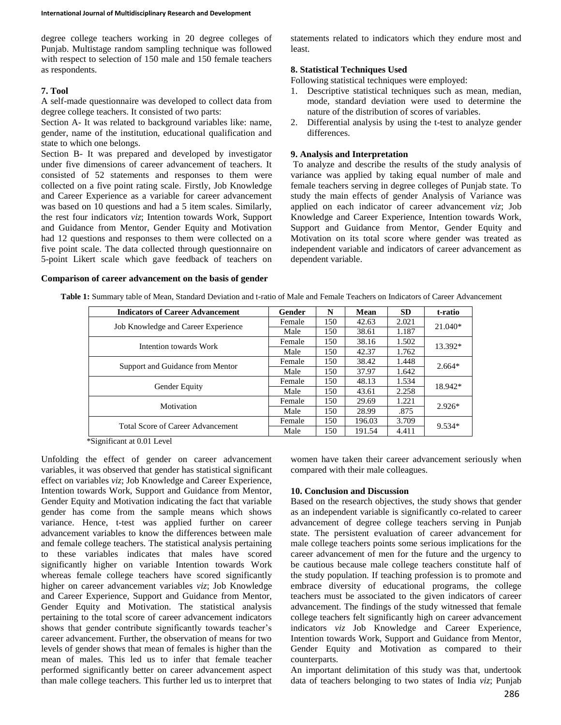degree college teachers working in 20 degree colleges of Punjab. Multistage random sampling technique was followed with respect to selection of 150 male and 150 female teachers as respondents.

### **7. Tool**

A self-made questionnaire was developed to collect data from degree college teachers. It consisted of two parts:

Section A- It was related to background variables like: name, gender, name of the institution, educational qualification and state to which one belongs.

Section B- It was prepared and developed by investigator under five dimensions of career advancement of teachers. It consisted of 52 statements and responses to them were collected on a five point rating scale. Firstly, Job Knowledge and Career Experience as a variable for career advancement was based on 10 questions and had a 5 item scales. Similarly, the rest four indicators *viz*; Intention towards Work, Support and Guidance from Mentor, Gender Equity and Motivation had 12 questions and responses to them were collected on a five point scale. The data collected through questionnaire on 5-point Likert scale which gave feedback of teachers on

statements related to indicators which they endure most and least.

### **8. Statistical Techniques Used**

Following statistical techniques were employed:

- 1. Descriptive statistical techniques such as mean, median, mode, standard deviation were used to determine the nature of the distribution of scores of variables.
- 2. Differential analysis by using the t-test to analyze gender differences.

#### **9. Analysis and Interpretation**

To analyze and describe the results of the study analysis of variance was applied by taking equal number of male and female teachers serving in degree colleges of Punjab state. To study the main effects of gender Analysis of Variance was applied on each indicator of career advancement *viz*; Job Knowledge and Career Experience, Intention towards Work, Support and Guidance from Mentor, Gender Equity and Motivation on its total score where gender was treated as independent variable and indicators of career advancement as dependent variable.

#### **Comparison of career advancement on the basis of gender**

| <b>Indicators of Career Advancement</b> | Gender | N   | Mean   | <b>SD</b> | t-ratio   |
|-----------------------------------------|--------|-----|--------|-----------|-----------|
| Job Knowledge and Career Experience     | Female | 150 | 42.63  | 2.021     | $21.040*$ |
|                                         | Male   | 150 | 38.61  | 1.187     |           |
| Intention towards Work                  | Female | 150 | 38.16  | 1.502     | 13.392*   |
|                                         | Male   | 150 | 42.37  | 1.762     |           |
| Support and Guidance from Mentor        | Female | 150 | 38.42  | 1.448     | $2.664*$  |
|                                         | Male   | 150 | 37.97  | 1.642     |           |
| <b>Gender Equity</b>                    | Female | 150 | 48.13  | 1.534     | 18.942*   |
|                                         | Male   | 150 | 43.61  | 2.258     |           |
| Motivation                              | Female | 150 | 29.69  | 1.221     | $2.926*$  |
|                                         | Male   | 150 | 28.99  | .875      |           |
| Total Score of Career Advancement       | Female | 150 | 196.03 | 3.709     | 9.534*    |
|                                         | Male   | 150 | 191.54 | 4.411     |           |

**Table 1:** Summary table of Mean, Standard Deviation and t-ratio of Male and Female Teachers on Indicators of Career Advancement

\*Significant at 0.01 Level

Unfolding the effect of gender on career advancement variables, it was observed that gender has statistical significant effect on variables *viz*; Job Knowledge and Career Experience, Intention towards Work, Support and Guidance from Mentor, Gender Equity and Motivation indicating the fact that variable gender has come from the sample means which shows variance. Hence, t-test was applied further on career advancement variables to know the differences between male and female college teachers. The statistical analysis pertaining to these variables indicates that males have scored significantly higher on variable Intention towards Work whereas female college teachers have scored significantly higher on career advancement variables *viz*; Job Knowledge and Career Experience, Support and Guidance from Mentor, Gender Equity and Motivation. The statistical analysis pertaining to the total score of career advancement indicators shows that gender contribute significantly towards teacher's career advancement. Further, the observation of means for two levels of gender shows that mean of females is higher than the mean of males. This led us to infer that female teacher performed significantly better on career advancement aspect than male college teachers. This further led us to interpret that

women have taken their career advancement seriously when compared with their male colleagues.

# **10. Conclusion and Discussion**

Based on the research objectives, the study shows that gender as an independent variable is significantly co-related to career advancement of degree college teachers serving in Punjab state. The persistent evaluation of career advancement for male college teachers points some serious implications for the career advancement of men for the future and the urgency to be cautious because male college teachers constitute half of the study population. If teaching profession is to promote and embrace diversity of educational programs, the college teachers must be associated to the given indicators of career advancement. The findings of the study witnessed that female college teachers felt significantly high on career advancement indicators *viz* Job Knowledge and Career Experience, Intention towards Work, Support and Guidance from Mentor, Gender Equity and Motivation as compared to their counterparts.

An important delimitation of this study was that, undertook data of teachers belonging to two states of India *viz*; Punjab